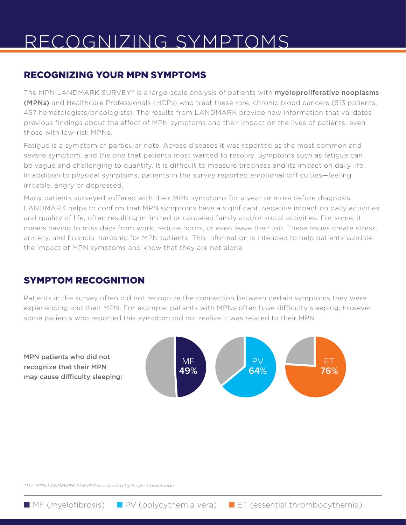# RECOGNIZING SYMPTOMS

## RECOGNIZING YOUR MPN SYMPTOMS

The MPN LANDMARK SURVEY\* is a large-scale analysis of patients with **myeloproliferative neoplasms** (MPNs) and Healthcare Professionals (HCPs) who treat these rare, chronic blood cancers (813 patients; 457 hematologists/oncologists). The results from LANDMARK provide new information that validates previous findings about the effect of MPN symptoms and their impact on the lives of patients, even those with low-risk MPNs.

Fatigue is a symptom of particular note. Across diseases it was reported as the most common and severe symptom, and the one that patients most wanted to resolve. Symptoms such as fatigue can be vague and challenging to quantify. It is difficult to measure tiredness and its impact on daily life. In addition to physical symptoms, patients in the survey reported emotional difficulties—feeling irritable, angry or depressed.

Many patients surveyed suffered with their MPN symptoms for a year or more before diagnosis. LANDMARK helps to confirm that MPN symptoms have a significant, negative impact on daily activities and quality of life, often resulting in limited or canceled family and/or social activities. For some, it means having to miss days from work, reduce hours, or even leave their job. These issues create stress, anxiety, and financial hardship for MPN patients. This information is intended to help patients validate the impact of MPN symptoms and know that they are not alone.

## SYMPTOM RECOGNITION

Patients in the survey often did not recognize the connection between certain symptoms they were experiencing and their MPN. For example, patients with MPNs often have difficulty sleeping; however, some patients who reported this symptom did not realize it was related to their MPN.



MPN patients who did not recognize that their MPN may cause difficulty sleeping:

*\*The MPN LANDMARK SURVEY was funded by Incyte Corporation.*